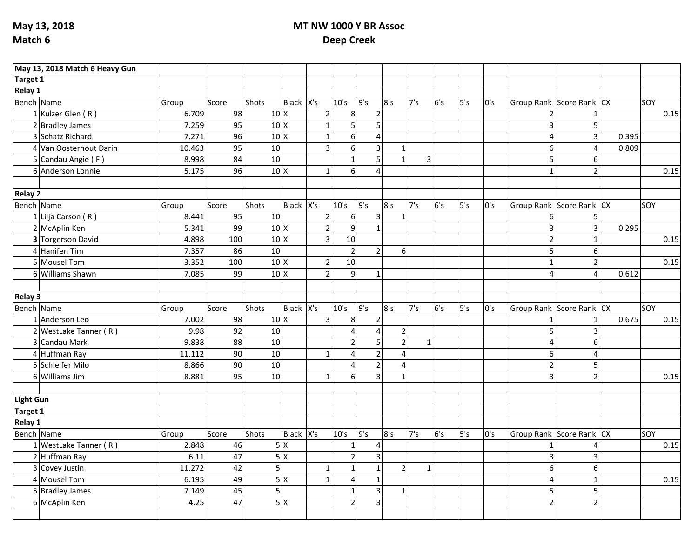## **MT NW 1000 Y BR Assoc Deep Creek**

|                  | May 13, 2018 Match 6 Heavy Gun |        |       |                 |                  |                 |                         |                |                  |                |     |     |     |                          |                  |       |            |
|------------------|--------------------------------|--------|-------|-----------------|------------------|-----------------|-------------------------|----------------|------------------|----------------|-----|-----|-----|--------------------------|------------------|-------|------------|
| <b>Target 1</b>  |                                |        |       |                 |                  |                 |                         |                |                  |                |     |     |     |                          |                  |       |            |
| Relay 1          |                                |        |       |                 |                  |                 |                         |                |                  |                |     |     |     |                          |                  |       |            |
| Bench Name       |                                | Group  | Score | Shots           | Black $X's$      |                 | 10's                    | 9's            | 8's              | 7's            | 6's | 5's | 0's | Group Rank Score Rank CX |                  |       | SOY        |
|                  | 1 Kulzer Glen (R)              | 6.709  | 98    | $10 \times$     |                  | $\overline{2}$  | 8                       | $\overline{2}$ |                  |                |     |     |     | $\overline{2}$           | $\mathbf 1$      |       | 0.15       |
|                  | $2$ Bradley James              | 7.259  | 95    | $10 \times$     |                  | $\mathbf{1}$    | 5                       | 5              |                  |                |     |     |     | 3                        | 5                |       |            |
|                  | 3 Schatz Richard               | 7.271  | 96    | $10 \times$     |                  | $\mathbf 1$     | $\overline{6}$          | $\overline{4}$ |                  |                |     |     |     | $\overline{4}$           | $\overline{3}$   | 0.395 |            |
|                  | 4 Van Oosterhout Darin         | 10.463 | 95    | 10 <sup>1</sup> |                  | $\overline{3}$  | 6                       | 3              | 1                |                |     |     |     | 6                        | $\overline{4}$   | 0.809 |            |
|                  | 5 Candau Angie (F)             | 8.998  | 84    | 10              |                  |                 | $\mathbf 1$             | 5              | $\mathbf{1}$     | $\overline{3}$ |     |     |     | 5 <sup>1</sup>           | 6                |       |            |
|                  | 6 Anderson Lonnie              | 5.175  | 96    | $10 \times$     |                  | $\mathbf{1}$    | 6                       | $\overline{a}$ |                  |                |     |     |     | $\mathbf{1}$             | $\overline{2}$   |       | 0.15       |
|                  |                                |        |       |                 |                  |                 |                         |                |                  |                |     |     |     |                          |                  |       |            |
| <b>Relay 2</b>   |                                |        |       |                 |                  |                 |                         |                |                  |                |     |     |     |                          |                  |       |            |
| Bench Name       |                                | Group  | Score | Shots           | Black $X's$      |                 | 10's                    | 9's            | 8's              | 7's            | 6's | 5's | 0's | Group Rank Score Rank CX |                  |       | SOY        |
|                  | 1 Lilja Carson (R)             | 8.441  | 95    | 10              |                  | $\overline{2}$  | 6                       | $\overline{3}$ | $\mathbf{1}$     |                |     |     |     | 6                        | 5                |       |            |
|                  | 2 McAplin Ken                  | 5.341  | 99    | $10 \times$     |                  | $\overline{2}$  | 9                       | $\mathbf{1}$   |                  |                |     |     |     | 3                        | $\overline{3}$   | 0.295 |            |
|                  | 3 Torgerson David              | 4.898  | 100   | $10 \times$     |                  | 3               | 10                      |                |                  |                |     |     |     | $\overline{2}$           | $\mathbf{1}$     |       | 0.15       |
|                  | 4 Hanifen Tim                  | 7.357  | 86    | 10              |                  |                 | $\overline{2}$          | $\overline{2}$ | $6 \overline{6}$ |                |     |     |     | 5                        | 6                |       |            |
|                  | 5 Mousel Tom                   | 3.352  | 100   | $10 \times$     |                  | $\overline{2}$  | 10                      |                |                  |                |     |     |     | $\mathbf 1$              | $\overline{2}$   |       | 0.15       |
|                  | 6 Williams Shawn               | 7.085  | 99    | $10 \times$     |                  | $\overline{2}$  | 9                       | $\mathbf{1}$   |                  |                |     |     |     | 4                        | 4                | 0.612 |            |
|                  |                                |        |       |                 |                  |                 |                         |                |                  |                |     |     |     |                          |                  |       |            |
| <b>Relay 3</b>   |                                |        |       |                 |                  |                 |                         |                |                  |                |     |     |     |                          |                  |       |            |
| Bench Name       |                                | Group  | Score | Shots           | Black $X's$      |                 | 10's                    | 9's            | 8's              | 7's            | 6's | 5's | 0's | Group Rank Score Rank CX |                  |       | SOY        |
|                  | 1 Anderson Leo                 | 7.002  | 98    | $10 \times$     |                  | $\overline{3}$  | 8                       | $\overline{2}$ |                  |                |     |     |     | $\mathbf{1}$             | $\mathbf{1}$     | 0.675 | 0.15       |
|                  | $2$ WestLake Tanner (R)        | 9.98   | 92    | 10              |                  |                 | $\overline{4}$          | $\overline{4}$ | $\overline{2}$   |                |     |     |     | 5                        | $\overline{3}$   |       |            |
|                  | 3 Candau Mark                  | 9.838  | 88    | 10              |                  |                 | $\overline{2}$          | 5              | $\overline{2}$   | $\mathbf{1}$   |     |     |     | $\overline{4}$           | 6                |       |            |
|                  | $4$ Huffman Ray                | 11.112 | 90    | 10              |                  | $1\overline{ }$ | $\overline{4}$          | $\overline{2}$ | $\overline{4}$   |                |     |     |     | 6                        | $\overline{4}$   |       |            |
|                  | 5 Schleifer Milo               | 8.866  | 90    | 10              |                  |                 | $\overline{4}$          | $\mathbf 2$    | 4                |                |     |     |     | $\overline{2}$           | 5                |       |            |
|                  | $6$ Williams Jim               | 8.881  | 95    | 10              |                  | $\mathbf{1}$    | $\overline{6}$          | $\overline{3}$ | $\mathbf{1}$     |                |     |     |     | 3                        | $\overline{2}$   |       | 0.15       |
|                  |                                |        |       |                 |                  |                 |                         |                |                  |                |     |     |     |                          |                  |       |            |
| <b>Light Gun</b> |                                |        |       |                 |                  |                 |                         |                |                  |                |     |     |     |                          |                  |       |            |
| Target 1         |                                |        |       |                 |                  |                 |                         |                |                  |                |     |     |     |                          |                  |       |            |
| Relay 1          |                                |        |       |                 |                  |                 |                         |                |                  |                |     |     |     |                          |                  |       |            |
| Bench Name       |                                | Group  | Score | Shots           | Black $X's$      |                 | 10's                    | 9's            | 8's              | 7's            | 6's | 5's | 0's | Group Rank Score Rank CX |                  |       | <b>SOY</b> |
|                  | $1$ WestLake Tanner (R)        | 2.848  | 46    |                 | 5x               |                 | $\mathbf{1}$            | 4              |                  |                |     |     |     |                          |                  |       | 0.15       |
|                  | 2 Huffman Ray                  | 6.11   | 47    |                 | $\overline{5}$ X |                 | $\overline{2}$          | $\overline{3}$ |                  |                |     |     |     | 3                        | $\overline{3}$   |       |            |
|                  | 3 Covey Justin                 | 11.272 | 42    | 5               |                  | $\mathbf{1}$    | $\mathbf 1$             | $\mathbf{1}$   | $\overline{2}$   | $\mathbf{1}$   |     |     |     | $6\,$                    | $\boldsymbol{6}$ |       |            |
|                  | 4 Mousel Tom                   | 6.195  | 49    |                 | 5x               | $\mathbf{1}$    | $\overline{\mathbf{4}}$ | $\mathbf{1}$   |                  |                |     |     |     | $\overline{4}$           | $1\,$            |       | 0.15       |
|                  | 5 Bradley James                | 7.149  | 45    | 5               |                  |                 | $\mathbf 1$             | 3              | 1                |                |     |     |     | 5 <sup>1</sup>           | 5                |       |            |
|                  | 6 McAplin Ken                  | 4.25   | 47    |                 | 5x               |                 | $\overline{2}$          | $\overline{3}$ |                  |                |     |     |     | $\overline{2}$           | $\overline{2}$   |       |            |
|                  |                                |        |       |                 |                  |                 |                         |                |                  |                |     |     |     |                          |                  |       |            |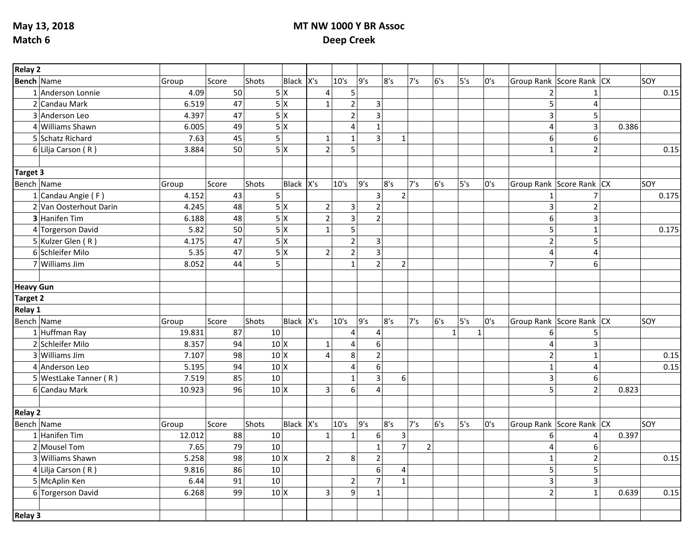**May 13, 2018 Match 6**

## **MT NW 1000 Y BR Assoc Deep Creek**

| <b>Bench Name</b><br>Black $X's$<br>9's<br>6's<br>5's<br>Shots<br>10's<br>8's<br>7's<br>Group Rank Score Rank CX<br> soy<br>Group<br>0's<br>Score<br>5x<br>50<br>5<br>4.09<br>1 Anderson Lonnie<br>4<br>$\overline{2}$<br>47<br>5x<br>6.519<br>2 Candau Mark<br>$\mathbf{1}$<br>$\mathbf{3}$<br>5<br>5x<br>47<br>$\overline{3}$<br>3 Anderson Leo<br>4.397<br>$\overline{2}$<br>3<br>5<br>5x<br>49<br>4 Williams Shawn<br>6.005<br>3<br>4<br>$\mathbf{1}$<br>4<br>0.386<br>5<br>$\overline{3}$<br>5 Schatz Richard<br>7.63<br>45<br>$\mathbf{1}$<br>6<br>$\mathbf{1}$<br>$\mathbf{1}$<br>6<br>5<br>50<br>5x<br>6 Lilja Carson (R)<br>3.884<br>$\overline{2}$<br>$\overline{2}$<br>$\mathbf{1}$<br><b>Target 3</b><br>Bench Name<br>6's<br>5's<br>Shots<br>Black $X's$<br>10's<br>9's<br>8's<br>7's<br> SOY<br>0's<br>Group Rank Score Rank CX<br>Group<br>Score<br>$\overline{2}$ | Relay 2              |       |    |   |  |  |   |  |  |  |       |
|-----------------------------------------------------------------------------------------------------------------------------------------------------------------------------------------------------------------------------------------------------------------------------------------------------------------------------------------------------------------------------------------------------------------------------------------------------------------------------------------------------------------------------------------------------------------------------------------------------------------------------------------------------------------------------------------------------------------------------------------------------------------------------------------------------------------------------------------------------------------------------------|----------------------|-------|----|---|--|--|---|--|--|--|-------|
|                                                                                                                                                                                                                                                                                                                                                                                                                                                                                                                                                                                                                                                                                                                                                                                                                                                                                   |                      |       |    |   |  |  |   |  |  |  |       |
|                                                                                                                                                                                                                                                                                                                                                                                                                                                                                                                                                                                                                                                                                                                                                                                                                                                                                   |                      |       |    |   |  |  |   |  |  |  | 0.15  |
|                                                                                                                                                                                                                                                                                                                                                                                                                                                                                                                                                                                                                                                                                                                                                                                                                                                                                   |                      |       |    |   |  |  |   |  |  |  |       |
|                                                                                                                                                                                                                                                                                                                                                                                                                                                                                                                                                                                                                                                                                                                                                                                                                                                                                   |                      |       |    |   |  |  |   |  |  |  |       |
|                                                                                                                                                                                                                                                                                                                                                                                                                                                                                                                                                                                                                                                                                                                                                                                                                                                                                   |                      |       |    |   |  |  |   |  |  |  |       |
|                                                                                                                                                                                                                                                                                                                                                                                                                                                                                                                                                                                                                                                                                                                                                                                                                                                                                   |                      |       |    |   |  |  |   |  |  |  |       |
|                                                                                                                                                                                                                                                                                                                                                                                                                                                                                                                                                                                                                                                                                                                                                                                                                                                                                   |                      |       |    |   |  |  |   |  |  |  | 0.15  |
|                                                                                                                                                                                                                                                                                                                                                                                                                                                                                                                                                                                                                                                                                                                                                                                                                                                                                   |                      |       |    |   |  |  |   |  |  |  |       |
|                                                                                                                                                                                                                                                                                                                                                                                                                                                                                                                                                                                                                                                                                                                                                                                                                                                                                   |                      |       |    |   |  |  |   |  |  |  |       |
|                                                                                                                                                                                                                                                                                                                                                                                                                                                                                                                                                                                                                                                                                                                                                                                                                                                                                   |                      |       |    |   |  |  |   |  |  |  |       |
|                                                                                                                                                                                                                                                                                                                                                                                                                                                                                                                                                                                                                                                                                                                                                                                                                                                                                   | $1$ Candau Angie (F) | 4.152 | 43 | 5 |  |  | 3 |  |  |  | 0.175 |
| 5x<br>2 Van Oosterhout Darin<br>48<br>2 <br>$\overline{2}$<br>4.245<br>3<br>3<br>$\overline{2}$                                                                                                                                                                                                                                                                                                                                                                                                                                                                                                                                                                                                                                                                                                                                                                                   |                      |       |    |   |  |  |   |  |  |  |       |
| $\overline{\mathbf{3}}$<br>5x<br>3 Hanifen Tim<br>48<br>$\overline{2}$<br>$\overline{2}$<br>3<br>6.188<br>6                                                                                                                                                                                                                                                                                                                                                                                                                                                                                                                                                                                                                                                                                                                                                                       |                      |       |    |   |  |  |   |  |  |  |       |
| 5<br>5x<br>50<br>5<br>4 Torgerson David<br>5.82<br>1<br>$\mathbf 1$                                                                                                                                                                                                                                                                                                                                                                                                                                                                                                                                                                                                                                                                                                                                                                                                               |                      |       |    |   |  |  |   |  |  |  | 0.175 |
| 5x<br>$\overline{2}$<br>5 Kulzer Glen (R)<br>47<br>$\mathbf 2$<br>4.175<br>$\mathbf{3}$<br>5                                                                                                                                                                                                                                                                                                                                                                                                                                                                                                                                                                                                                                                                                                                                                                                      |                      |       |    |   |  |  |   |  |  |  |       |
| 6 Schleifer Milo<br>5x<br>5.35<br>47<br>$\overline{c}$<br>3<br>2<br>4<br>4                                                                                                                                                                                                                                                                                                                                                                                                                                                                                                                                                                                                                                                                                                                                                                                                        |                      |       |    |   |  |  |   |  |  |  |       |
| 5<br>$\overline{2}$<br>$\overline{7}$<br>7 Williams Jim<br>44<br>$\mathbf{1}$<br>8.052<br>$\overline{2}$<br>6                                                                                                                                                                                                                                                                                                                                                                                                                                                                                                                                                                                                                                                                                                                                                                     |                      |       |    |   |  |  |   |  |  |  |       |
|                                                                                                                                                                                                                                                                                                                                                                                                                                                                                                                                                                                                                                                                                                                                                                                                                                                                                   |                      |       |    |   |  |  |   |  |  |  |       |
| <b>Heavy Gun</b>                                                                                                                                                                                                                                                                                                                                                                                                                                                                                                                                                                                                                                                                                                                                                                                                                                                                  |                      |       |    |   |  |  |   |  |  |  |       |
| <b>Target 2</b>                                                                                                                                                                                                                                                                                                                                                                                                                                                                                                                                                                                                                                                                                                                                                                                                                                                                   |                      |       |    |   |  |  |   |  |  |  |       |
| Relay 1                                                                                                                                                                                                                                                                                                                                                                                                                                                                                                                                                                                                                                                                                                                                                                                                                                                                           |                      |       |    |   |  |  |   |  |  |  |       |
| Black $X's$<br>9's<br>6's<br>5's<br>Shots<br>10's<br>8's<br>7's<br>0's<br>Bench Name<br>Score<br>Group Rank Score Rank CX<br> SOY<br>Group                                                                                                                                                                                                                                                                                                                                                                                                                                                                                                                                                                                                                                                                                                                                        |                      |       |    |   |  |  |   |  |  |  |       |
| $1$ Huffman Ray<br>87<br>10<br>19.831<br>$\mathbf{1}$<br>4<br>1<br>4<br>6<br>5                                                                                                                                                                                                                                                                                                                                                                                                                                                                                                                                                                                                                                                                                                                                                                                                    |                      |       |    |   |  |  |   |  |  |  |       |
| 2 Schleifer Milo<br>94<br>$10 \times$<br>8.357<br>4<br>6<br>3<br>1 <sup>1</sup><br>4                                                                                                                                                                                                                                                                                                                                                                                                                                                                                                                                                                                                                                                                                                                                                                                              |                      |       |    |   |  |  |   |  |  |  |       |
| 8<br>3 Williams Jim<br>98<br>$\overline{2}$<br>7.107<br>$10 \times$<br>$\overline{2}$<br>4                                                                                                                                                                                                                                                                                                                                                                                                                                                                                                                                                                                                                                                                                                                                                                                        |                      |       |    |   |  |  |   |  |  |  | 0.15  |
| 4 Anderson Leo<br>5.195<br>94<br>$10 \times$<br>6<br>4<br>$\mathbf{1}$<br>Δ                                                                                                                                                                                                                                                                                                                                                                                                                                                                                                                                                                                                                                                                                                                                                                                                       |                      |       |    |   |  |  |   |  |  |  | 0.15  |
| $\overline{\mathbf{3}}$<br>5 WestLake Tanner (R)<br>7.519<br>85<br>10<br>3<br>$6 \overline{6}$<br>$\mathbf{1}$<br>6                                                                                                                                                                                                                                                                                                                                                                                                                                                                                                                                                                                                                                                                                                                                                               |                      |       |    |   |  |  |   |  |  |  |       |
| 96<br>$10 \times$<br>3<br>6<br>5<br>$\overline{2}$<br>6 Candau Mark<br>10.923<br>0.823<br>4                                                                                                                                                                                                                                                                                                                                                                                                                                                                                                                                                                                                                                                                                                                                                                                       |                      |       |    |   |  |  |   |  |  |  |       |
|                                                                                                                                                                                                                                                                                                                                                                                                                                                                                                                                                                                                                                                                                                                                                                                                                                                                                   |                      |       |    |   |  |  |   |  |  |  |       |
| <b>Relay 2</b>                                                                                                                                                                                                                                                                                                                                                                                                                                                                                                                                                                                                                                                                                                                                                                                                                                                                    |                      |       |    |   |  |  |   |  |  |  |       |
| Black $X's$<br>10's<br>9's<br>8's<br>7's<br>6's<br>Bench Name<br>Shots<br>5's<br>0's<br>Group Rank Score Rank CX<br><b>SOY</b><br>Group<br>Score                                                                                                                                                                                                                                                                                                                                                                                                                                                                                                                                                                                                                                                                                                                                  |                      |       |    |   |  |  |   |  |  |  |       |
| 0.397<br>1 Hanifen Tim<br>12.012<br>88<br>6<br>3<br>10<br>1 <sup>1</sup><br>1<br>6                                                                                                                                                                                                                                                                                                                                                                                                                                                                                                                                                                                                                                                                                                                                                                                                |                      |       |    |   |  |  |   |  |  |  |       |
| $\overline{7}$<br>79<br>10<br>$\overline{2}$<br>2 Mousel Tom<br>7.65<br>$\mathbf{1}$<br>6                                                                                                                                                                                                                                                                                                                                                                                                                                                                                                                                                                                                                                                                                                                                                                                         |                      |       |    |   |  |  |   |  |  |  |       |
| 3 Williams Shawn<br>5.258<br>$10 \mid X$<br>98<br>$2\vert$<br>$\bf 8$<br>$\overline{\mathbf{c}}$<br>$\overline{2}$<br> 1                                                                                                                                                                                                                                                                                                                                                                                                                                                                                                                                                                                                                                                                                                                                                          |                      |       |    |   |  |  |   |  |  |  | 0.15  |
| 10<br>$6\,$<br>86<br>5 <sup>1</sup><br>5<br>4 Lilja Carson $(R)$<br>9.816<br>$\overline{4}$                                                                                                                                                                                                                                                                                                                                                                                                                                                                                                                                                                                                                                                                                                                                                                                       |                      |       |    |   |  |  |   |  |  |  |       |
| 10<br>91<br>$\overline{7}$<br>3<br>5 McAplin Ken<br>6.44<br>$\overline{2}$<br>$1\vert$<br>$\mathbf{3}$                                                                                                                                                                                                                                                                                                                                                                                                                                                                                                                                                                                                                                                                                                                                                                            |                      |       |    |   |  |  |   |  |  |  |       |
| $\overline{9}$<br>99<br>$10 \times$<br>$2\vert$<br>6 Torgerson David<br>3 <br>6.268<br>0.639<br>$\mathbf{1}$<br>$\mathbf{1}$                                                                                                                                                                                                                                                                                                                                                                                                                                                                                                                                                                                                                                                                                                                                                      |                      |       |    |   |  |  |   |  |  |  | 0.15  |
|                                                                                                                                                                                                                                                                                                                                                                                                                                                                                                                                                                                                                                                                                                                                                                                                                                                                                   |                      |       |    |   |  |  |   |  |  |  |       |
| <b>Relay 3</b>                                                                                                                                                                                                                                                                                                                                                                                                                                                                                                                                                                                                                                                                                                                                                                                                                                                                    |                      |       |    |   |  |  |   |  |  |  |       |